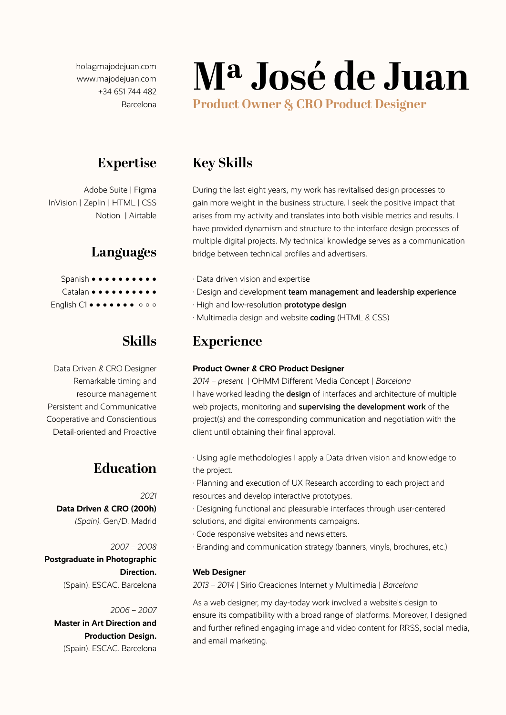hola@majodejuan.com www.majodejuan.com +34 651 744 482 Barcelona

# **Mª José de Juan**

**Product Owner & CRO Product Designer**

## **Expertise**

Adobe Suite | Figma InVision | Zeplin | HTML | CSS Notion | Airtable

## **Languages**

Spanish ● ● ● ● ● ● ● ● ● ● Catalan • • • • • • • • • • • English C1 • • • • • • • • • • •

# **Skills**

Data Driven & CRO Designer Remarkable timing and resource management Persistent and Communicative Cooperative and Conscientious Detail-oriented and Proactive

# **Education**

*2021* **Data Driven & CRO (200h)** *(Spain).* Gen/D. Madrid

*2007 – 2008* **Postgraduate in Photographic Direction.** (Spain). ESCAC. Barcelona

#### *2006 – 2007*

**Master in Art Direction and Production Design.** (Spain). ESCAC. Barcelona

## **Key Skills**

During the last eight years, my work has revitalised design processes to gain more weight in the business structure. I seek the positive impact that arises from my activity and translates into both visible metrics and results. I have provided dynamism and structure to the interface design processes of multiple digital projects. My technical knowledge serves as a communication bridge between technical profiles and advertisers.

- · Data driven vision and expertise
- · Design and development team management and leadership experience
- · High and low-resolution prototype design
- · Multimedia design and website coding (HTML & CSS)

## **Experience**

#### **Product Owner & CRO Product Designer**

*2014 – present* | OHMM Different Media Concept | *Barcelona* I have worked leading the design of interfaces and architecture of multiple web projects, monitoring and **supervising the development work** of the project(s) and the corresponding communication and negotiation with the client until obtaining their final approval.

· Using agile methodologies I apply a Data driven vision and knowledge to the project.

· Planning and execution of UX Research according to each project and resources and develop interactive prototypes.

· Designing functional and pleasurable interfaces through user-centered solutions, and digital environments campaigns.

- · Code responsive websites and newsletters.
- · Branding and communication strategy (banners, vinyls, brochures, etc.)

#### **Web Designer**

*2013 – 2014* | Sirio Creaciones Internet y Multimedia | *Barcelona*

As a web designer, my day-today work involved a website's design to ensure its compatibility with a broad range of platforms. Moreover, I designed and further refined engaging image and video content for RRSS, social media, and email marketing.